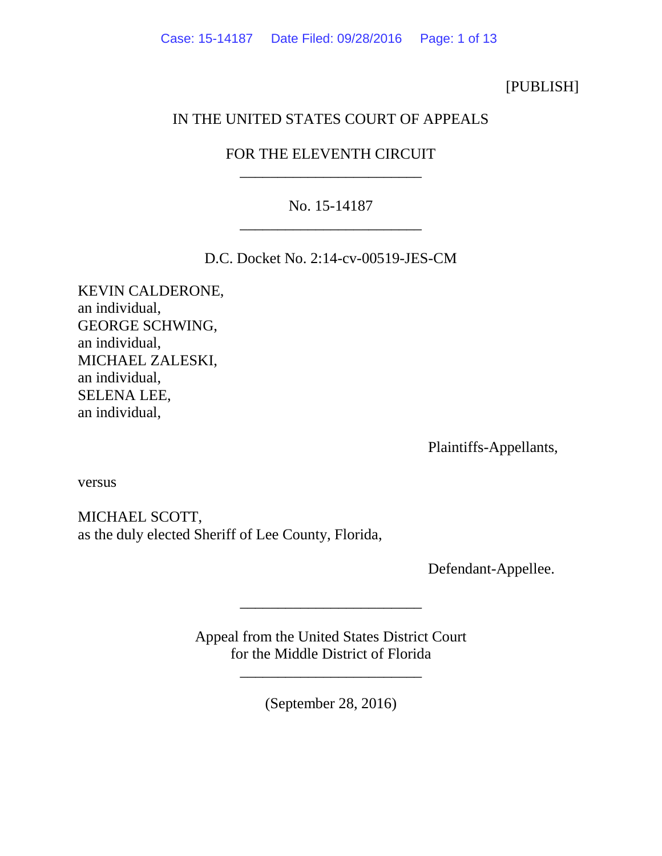## [PUBLISH]

## IN THE UNITED STATES COURT OF APPEALS

# FOR THE ELEVENTH CIRCUIT \_\_\_\_\_\_\_\_\_\_\_\_\_\_\_\_\_\_\_\_\_\_\_\_

# No. 15-14187 \_\_\_\_\_\_\_\_\_\_\_\_\_\_\_\_\_\_\_\_\_\_\_\_

D.C. Docket No. 2:14-cv-00519-JES-CM

KEVIN CALDERONE, an individual, GEORGE SCHWING, an individual, MICHAEL ZALESKI, an individual, SELENA LEE, an individual,

Plaintiffs-Appellants,

versus

MICHAEL SCOTT, as the duly elected Sheriff of Lee County, Florida,

Defendant-Appellee.

Appeal from the United States District Court for the Middle District of Florida

\_\_\_\_\_\_\_\_\_\_\_\_\_\_\_\_\_\_\_\_\_\_\_\_

\_\_\_\_\_\_\_\_\_\_\_\_\_\_\_\_\_\_\_\_\_\_\_\_

(September 28, 2016)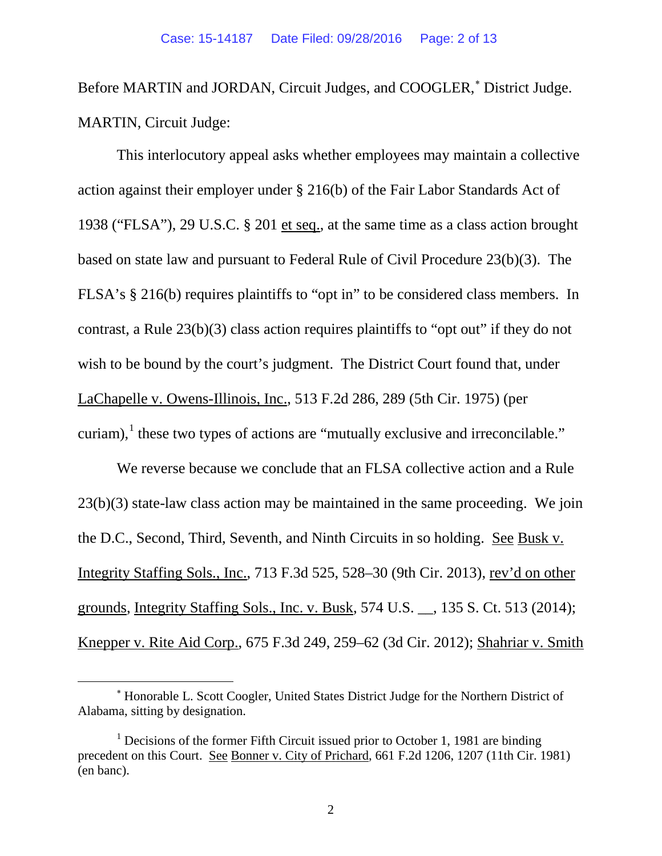Before MARTIN and JORDAN, Circuit Judges, and COOGLER,<sup>\*</sup> District Judge. MARTIN, Circuit Judge:

This interlocutory appeal asks whether employees may maintain a collective action against their employer under § 216(b) of the Fair Labor Standards Act of 1938 ("FLSA"), 29 U.S.C. § 201 et seq., at the same time as a class action brought based on state law and pursuant to [Federal Rule of Civil Procedure 23\(b\)\(3\).](https://1.next.westlaw.com/Link/Document/FullText?findType=L&pubNum=1000600&cite=USFRCPR23&originatingDoc=I1cb16478232311e088699d6fd571daba&refType=RB&originationContext=document&transitionType=DocumentItem&contextData=(sc.History*oc.UserEnteredCitation)%23co_pp_d801000002763) The FLSA's § 216(b) requires plaintiffs to "opt in" to be considered class members. In contrast, a Rule 23(b)(3) class action requires plaintiffs to "opt out" if they do not wish to be bound by the court's judgment. The District Court found that, under [LaChapelle v. Owens-Illinois, Inc.,](https://1.next.westlaw.com/Link/Document/FullText?findType=Y&serNum=1975110251&pubNum=0000350&originatingDoc=I5b84d1152f3911e590d4edf60ce7d742&refType=RP&fi=co_pp_sp_350_289&originationContext=document&transitionType=DocumentItem&contextData=(sc.Keycite)%23co_pp_sp_350_289) 513 F.2d 286, 289 (5th Cir. 1975) (per curiam), $<sup>1</sup>$  $<sup>1</sup>$  $<sup>1</sup>$  these two types of actions are "mutually exclusive and irreconcilable."</sup>

We reverse because we conclude that an FLSA collective action and a Rule 23(b)(3) state-law class action may be maintained in the same proceeding. We join the D.C., Second, Third, Seventh, and Ninth Circuits in so holding. See Busk v. Integrity Staffing Sols., Inc., 713 F.3d 525, 528–30 (9th Cir. 2013), rev'd on other grounds, Integrity Staffing Sols., Inc. v. Busk, 574 U.S. \_\_, 135 S. Ct. 513 (2014); Knepper v. Rite Aid Corp., 675 F.3d 249, 259–62 (3d Cir. 2012); Shahriar v. Smith

<span id="page-1-0"></span><sup>∗</sup> Honorable L. Scott Coogler, United States District Judge for the Northern District of Alabama, sitting by designation.

<span id="page-1-1"></span> $1$  Decisions of the former Fifth Circuit issued prior to October 1, 1981 are binding precedent on this Court. See Bonner v. City of Prichard, 661 F.2d 1206, 1207 (11th Cir. 1981) (en banc).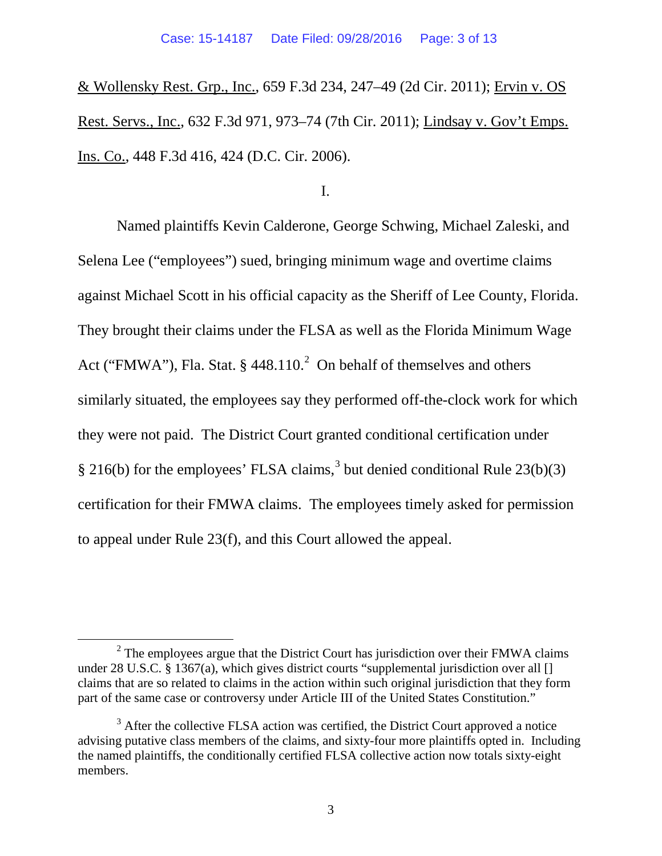& Wollensky Rest. Grp., Inc., 659 F.3d 234, 247–49 (2d Cir. 2011); Ervin v. OS Rest. Servs., Inc., 632 F.3d 971, 973–74 (7th Cir. 2011); Lindsay v. Gov't Emps. Ins. Co., 448 F.3d 416, 424 (D.C. Cir. 2006).

I.

Named plaintiffs Kevin Calderone, George Schwing, Michael Zaleski, and Selena Lee ("employees") sued, bringing minimum wage and overtime claims against Michael Scott in his official capacity as the Sheriff of Lee County, Florida. They brought their claims under the FLSA as well as the Florida Minimum Wage Act ("FMWA"), Fla. Stat. § 448.110.<sup>[2](#page-2-0)</sup> On behalf of themselves and others similarly situated, the employees say they performed off-the-clock work for which they were not paid. The District Court granted conditional certification under § 216(b) for the employees' FLSA claims,<sup>[3](#page-2-1)</sup> but denied conditional Rule 23(b)(3) certification for their FMWA claims. The employees timely asked for permission to appeal under Rule 23(f), and this Court allowed the appeal.

<span id="page-2-0"></span> $2^2$  The employees argue that the District Court has jurisdiction over their FMWA claims under 28 U.S.C. § 1367(a), which gives district courts "supplemental jurisdiction over all  $\lceil \rceil$ claims that are so related to claims in the action within such original jurisdiction that they form part of the same case or controversy under Article III of the United States Constitution."

<span id="page-2-1"></span><sup>&</sup>lt;sup>3</sup> After the collective FLSA action was certified, the District Court approved a notice advising putative class members of the claims, and sixty-four more plaintiffs opted in. Including the named plaintiffs, the conditionally certified FLSA collective action now totals sixty-eight members.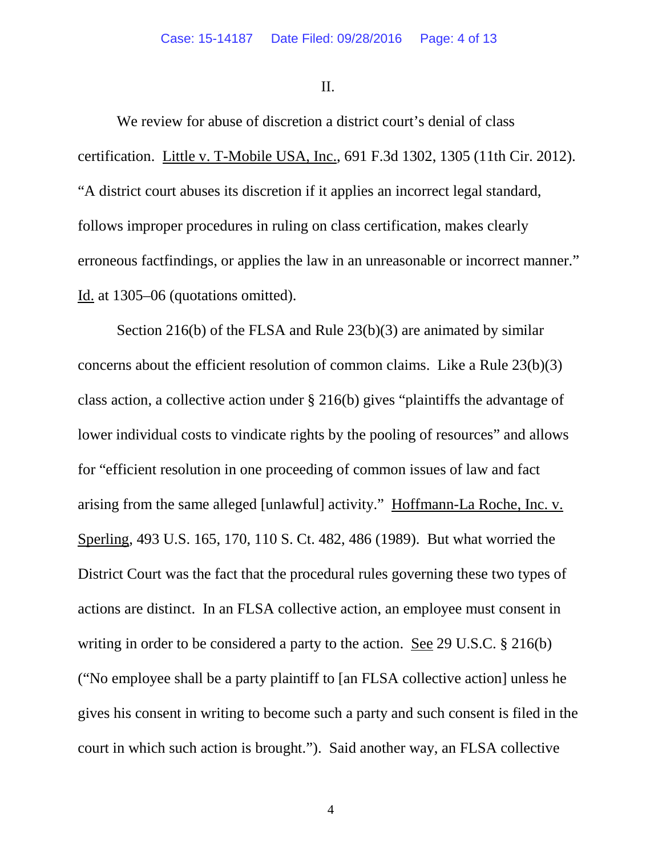II.

We review for abuse of discretion a district court's denial of class certification. Little v. T-Mobile USA, Inc., 691 F.3d 1302, 1305 (11th Cir. 2012). "A district court abuses its discretion if it applies an incorrect legal standard, follows improper procedures in ruling on class certification, makes clearly erroneous factfindings, or applies the law in an unreasonable or incorrect manner." Id. at 1305–06 (quotations omitted).

Section 216(b) of the FLSA and Rule 23(b)(3) are animated by similar concerns about the efficient resolution of common claims. Like a Rule 23(b)(3) class action, a collective action under § 216(b) gives "plaintiffs the advantage of lower individual costs to vindicate rights by the pooling of resources" and allows for "efficient resolution in one proceeding of common issues of law and fact arising from the same alleged [unlawful] activity." Hoffmann-La Roche, Inc. v. Sperling, 493 U.S. 165, 170, 110 S. Ct. 482, 486 (1989). But what worried the District Court was the fact that the procedural rules governing these two types of actions are distinct. In an FLSA collective action, an employee must consent in writing in order to be considered a party to the action. See [29 U.S.C. § 216\(b\)](https://1.next.westlaw.com/Link/Document/FullText?findType=L&pubNum=1000546&cite=29USCAS216&originatingDoc=I5b84d1152f3911e590d4edf60ce7d742&refType=RB&originationContext=document&transitionType=DocumentItem&contextData=(sc.Keycite)%23co_pp_a83b000018c76) ("No employee shall be a party plaintiff to [an FLSA collective action] unless he gives his consent in writing to become such a party and such consent is filed in the court in which such action is brought."). Said another way, an FLSA collective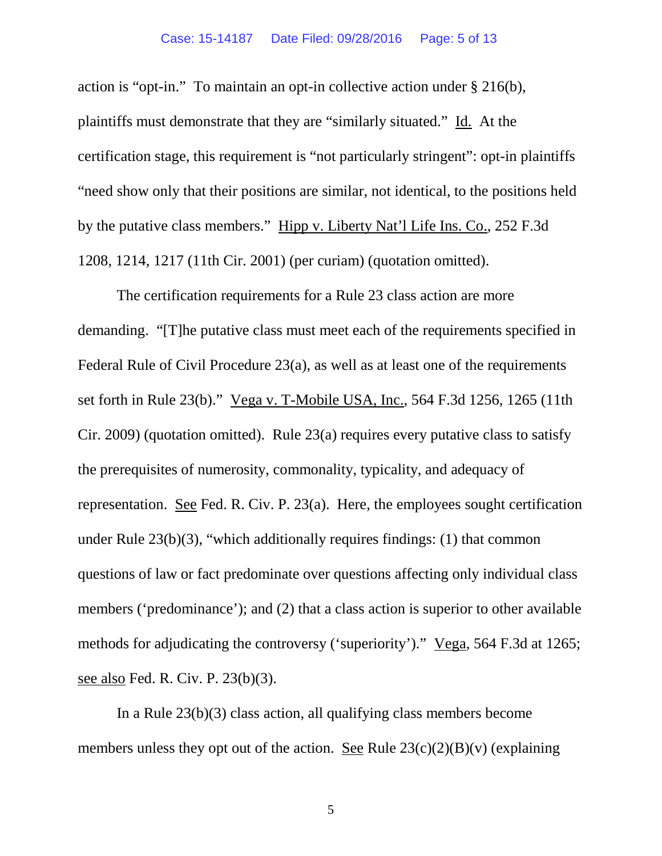#### Case: 15-14187 Date Filed: 09/28/2016 Page: 5 of 13

action is "opt-in." To maintain an opt-in collective action under § 216(b), plaintiffs must demonstrate that they are "similarly situated." Id. At the certification stage, this requirement is "not particularly stringent": opt-in plaintiffs "need show only that their positions are similar, not identical, to the positions held by the putative class members." [Hipp v. Liberty Nat'l Life Ins.](https://1.next.westlaw.com/Link/Document/FullText?findType=Y&serNum=2001454024&pubNum=0000506&originatingDoc=I5b84d1152f3911e590d4edf60ce7d742&refType=RP&fi=co_pp_sp_506_1217&originationContext=document&transitionType=DocumentItem&contextData=(sc.Keycite)%23co_pp_sp_506_1217) Co., 252 F.3d [1208, 1214, 1217 \(11th Cir. 2001\)](https://1.next.westlaw.com/Link/Document/FullText?findType=Y&serNum=2001454024&pubNum=0000506&originatingDoc=I5b84d1152f3911e590d4edf60ce7d742&refType=RP&fi=co_pp_sp_506_1217&originationContext=document&transitionType=DocumentItem&contextData=(sc.Keycite)%23co_pp_sp_506_1217) (per curiam) (quotation omitted).

The certification requirements for a Rule 23 class action are more demanding. "[T]he putative class must meet each of the requirements specified in Federal Rule of Civil Procedure 23(a), as well as at least one of the requirements set forth in Rule 23(b)." Vega v. T-Mobile USA, Inc., 564 F.3d 1256, 1265 (11th Cir. 2009) (quotation omitted). Rule 23(a) requires every putative class to satisfy the prerequisites of numerosity, commonality, typicality, and adequacy of representation. See [Fed. R. Civ. P. 23\(a\).](https://1.next.westlaw.com/Link/Document/FullText?findType=L&pubNum=1004365&cite=USFRCPR23&originatingDoc=I1bc3a507236111deb6a3a099756c05b7&refType=LQ&originationContext=document&transitionType=DocumentItem&contextData=(sc.Search)) Here, the employees sought certification under Rule 23(b)(3), "which additionally requires findings: (1) that common questions of law or fact predominate over questions affecting only individual class members ('predominance'); and (2) that a class action is superior to other available methods for adjudicating the controversy ('superiority')." Vega, 564 F.3d at 1265; see also Fed. R. Civ. P. 23(b)(3).

In a Rule 23(b)(3) class action, all qualifying class members become members unless they opt out of the action. <u>See</u> Rule  $23(c)(2)(B)(v)$  (explaining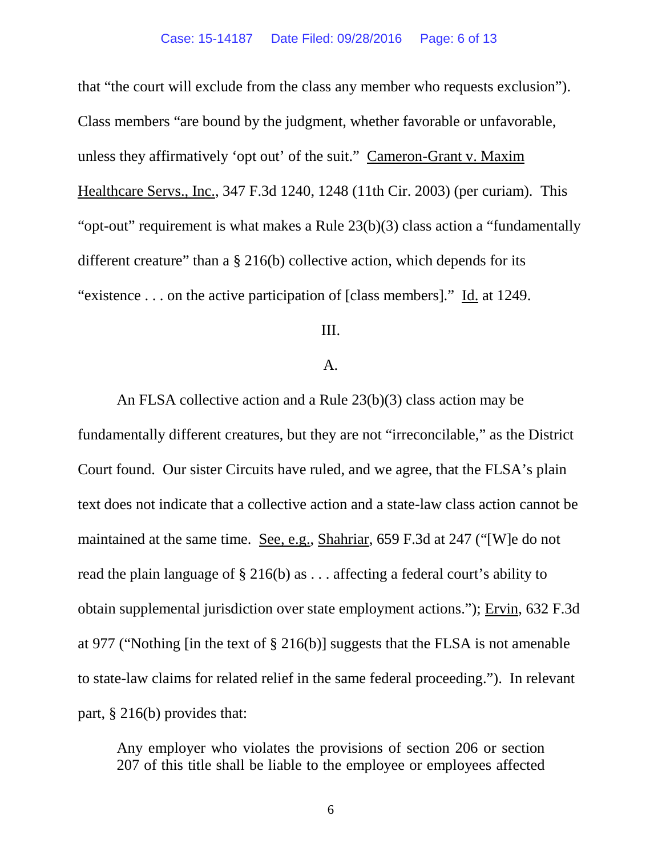that "the court will exclude from the class any member who requests exclusion"). Class members "are bound by the judgment, whether favorable or unfavorable, unless they affirmatively 'opt out' of the suit." Cameron-Grant v. Maxim Healthcare Servs., Inc., 347 F.3d 1240, 1248 (11th Cir. 2003) (per curiam). This "opt-out" requirement is what makes a Rule 23(b)(3) class action a "fundamentally different creature" than a  $\S 216(b)$  collective action, which depends for its "existence  $\dots$  on the active participation of [class members]." Id. at 1249.

III.

### $A<sub>1</sub>$

An FLSA collective action and a Rule 23(b)(3) class action may be fundamentally different creatures, but they are not "irreconcilable," as the District Court found. Our sister Circuits have ruled, and we agree, that the FLSA's plain text does not indicate that a collective action and a state-law class action cannot be maintained at the same time. See, e.g., Shahriar, 659 F.3d at 247 ("[W]e do not read the plain language of § 216(b) as . . . affecting a federal court's ability to obtain supplemental jurisdiction over state employment actions."); Ervin, 632 F.3d at 977 ("Nothing [in the text of § 216(b)] suggests that the FLSA is not amenable to state-law claims for related relief in the same federal proceeding."). In relevant part, § 216(b) provides that:

Any employer who violates the provisions of section 206 or section 207 of this title shall be liable to the employee or employees affected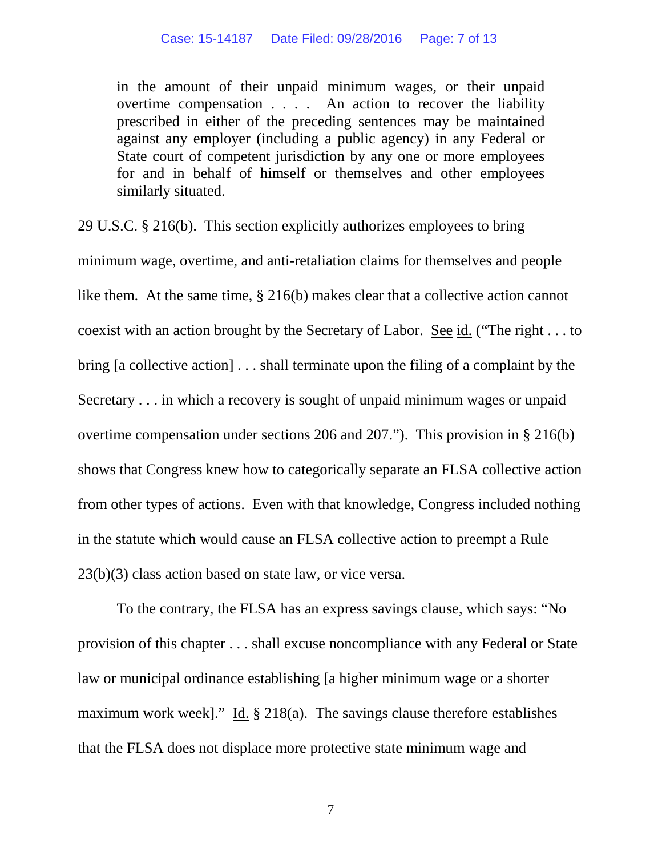in the amount of their unpaid minimum wages, or their unpaid overtime compensation . . . . An action to recover the liability prescribed in either of the preceding sentences may be maintained against any employer (including a public agency) in any Federal or State court of competent jurisdiction by any one or more employees for and in behalf of himself or themselves and other employees similarly situated.

29 U.S.C. § 216(b). This section explicitly authorizes employees to bring minimum wage, overtime, and anti-retaliation claims for themselves and people like them. At the same time, § 216(b) makes clear that a collective action cannot coexist with an action brought by the Secretary of Labor. See id. ("The right . . . to bring [a collective action] . . . shall terminate upon the filing of a complaint by the Secretary . . . in which a recovery is sought of unpaid minimum wages or unpaid overtime compensation under sections 206 and 207."). This provision in § 216(b) shows that Congress knew how to categorically separate an FLSA collective action from other types of actions. Even with that knowledge, Congress included nothing in the statute which would cause an FLSA collective action to preempt a Rule 23(b)(3) class action based on state law, or vice versa.

To the contrary, the FLSA has an express savings clause, which says: "No provision of this chapter . . . shall excuse noncompliance with any Federal or State law or municipal ordinance establishing [a higher minimum wage or a shorter maximum work week]." Id. § 218(a). The savings clause therefore establishes that the FLSA does not displace more protective state minimum wage and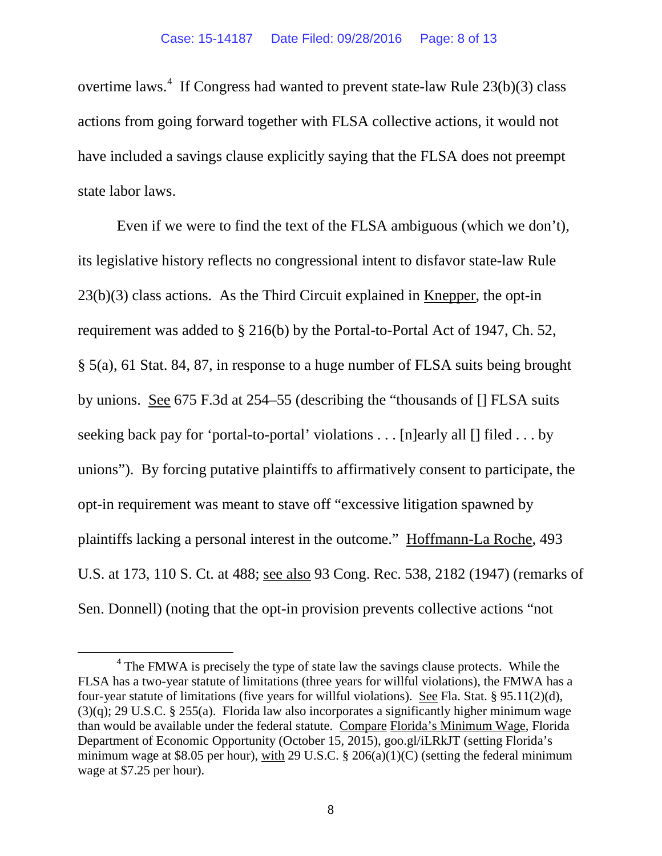overtime laws.<sup>[4](#page-7-0)</sup> If Congress had wanted to prevent state-law Rule  $23(b)(3)$  class actions from going forward together with FLSA collective actions, it would not have included a savings clause explicitly saying that the FLSA does not preempt state labor laws.

Even if we were to find the text of the FLSA ambiguous (which we don't), its legislative history reflects no congressional intent to disfavor state-law Rule  $23(b)(3)$  class actions. As the Third Circuit explained in Knepper, the opt-in requirement was added to § 216(b) by the Portal-to-Portal Act of 1947, Ch. 52, § 5(a), 61 Stat. 84, 87, in response to a huge number of FLSA suits being brought by unions. See 675 F.3d at 254–55 (describing the "thousands of [] FLSA suits seeking back pay for 'portal-to-portal' violations . . . [n]early all [] filed . . . by unions"). By forcing putative plaintiffs to affirmatively consent to participate, the opt-in requirement was meant to stave off "excessive litigation spawned by plaintiffs lacking a personal interest in the outcome." Hoffmann-La Roche, 493 U.S. at 173, 110 S. Ct. at 488; see also 93 Cong. Rec. 538, 2182 (1947) (remarks of Sen. Donnell) (noting that the opt-in provision prevents collective actions "not

<span id="page-7-0"></span><sup>&</sup>lt;sup>4</sup> The FMWA is precisely the type of state law the savings clause protects. While the FLSA has a two-year statute of limitations (three years for willful violations), the FMWA has a four-year statute of limitations (five years for willful violations). See Fla. Stat. § 95.11(2)(d),  $(3)(q)$ ; 29 U.S.C. § 255(a). Florida law also incorporates a significantly higher minimum wage than would be available under the federal statute. Compare Florida's Minimum Wage, Florida Department of Economic Opportunity (October 15, 2015), goo.gl/iLRkJT (setting Florida's minimum wage at \$8.05 per hour), with 29 U.S.C.  $\S$  206(a)(1)(C) (setting the federal minimum wage at \$7.25 per hour).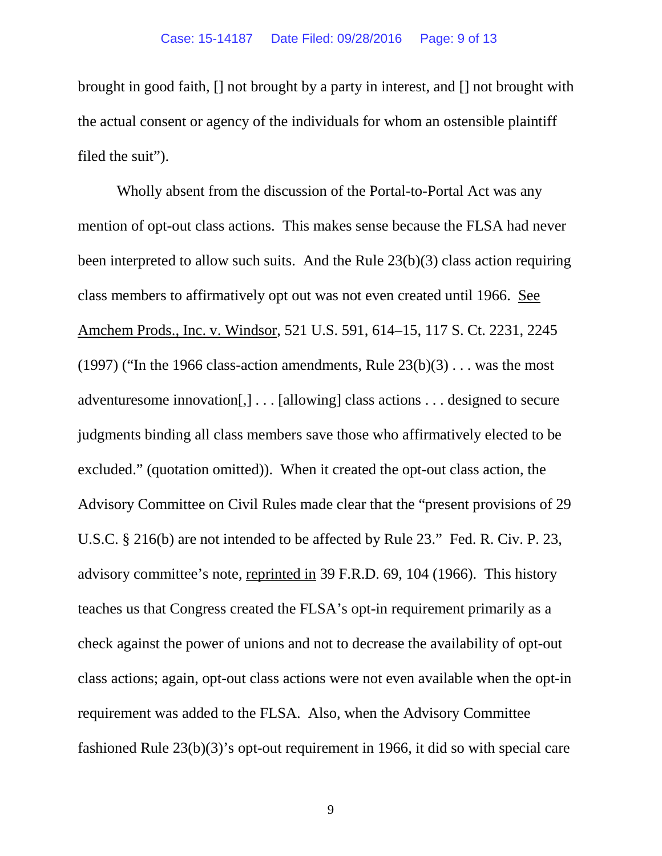brought in good faith, [] not brought by a party in interest, and [] not brought with the actual consent or agency of the individuals for whom an ostensible plaintiff filed the suit").

Wholly absent from the discussion of the Portal-to-Portal Act was any mention of opt-out class actions. This makes sense because the FLSA had never been interpreted to allow such suits. And the Rule 23(b)(3) class action requiring class members to affirmatively opt out was not even created until 1966. See Amchem Prods., Inc. v. Windsor, 521 U.S. 591, 614–15, 117 S. Ct. 2231, 2245 (1997) ("In the 1966 class-action amendments, Rule  $23(b)(3)$ ... was the most adventuresome innovation[,] . . . [allowing] class actions . . . designed to secure judgments binding all class members save those who affirmatively elected to be excluded." (quotation omitted)). When it created the opt-out class action, the Advisory Committee on Civil Rules made clear that the "present provisions of 29 U.S.C. § 216(b) are not intended to be affected by Rule 23." Fed. R. Civ. P. 23, advisory committee's note, reprinted in 39 F.R.D. 69, 104 (1966). This history teaches us that Congress created the FLSA's opt-in requirement primarily as a check against the power of unions and not to decrease the availability of opt-out class actions; again, opt-out class actions were not even available when the opt-in requirement was added to the FLSA. Also, when the Advisory Committee fashioned Rule 23(b)(3)'s opt-out requirement in 1966, it did so with special care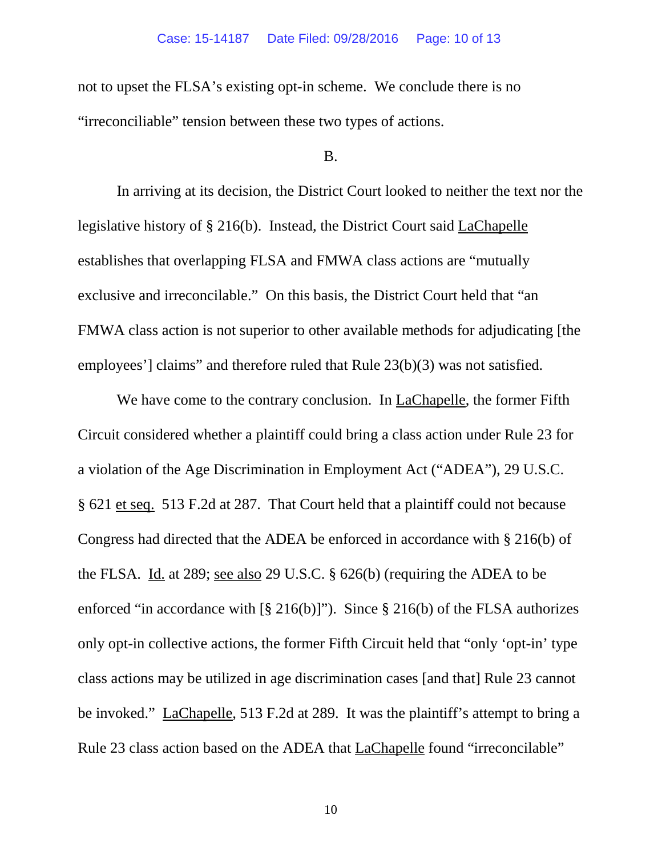not to upset the FLSA's existing opt-in scheme. We conclude there is no "irreconciliable" tension between these two types of actions.

### B.

In arriving at its decision, the District Court looked to neither the text nor the legislative history of § 216(b). Instead, the District Court said LaChapelle establishes that overlapping FLSA and FMWA class actions are "mutually exclusive and irreconcilable." On this basis, the District Court held that "an FMWA class action is not superior to other available methods for adjudicating [the employees'] claims" and therefore ruled that Rule 23(b)(3) was not satisfied.

We have come to the contrary conclusion. In LaChapelle, the former Fifth Circuit considered whether a plaintiff could bring a class action under Rule 23 for a violation of the Age Discrimination in Employment Act ("ADEA"), 29 U.S.C. § 621 et seq. 513 F.2d at 287. That Court held that a plaintiff could not because Congress had directed that the ADEA be enforced in accordance with § 216(b) of the FLSA. Id. at 289; see also 29 U.S.C. § 626(b) (requiring the ADEA to be enforced "in accordance with  $\lceil \frac{8}{9} \cdot 216(b) \rceil$ "). Since  $\frac{8}{9} \cdot 216(b)$  of the FLSA authorizes only opt-in collective actions, the former Fifth Circuit held that "only 'opt-in' type class actions may be utilized in age discrimination cases [and that] Rule 23 cannot be invoked." LaChapelle, 513 F.2d at 289. It was the plaintiff's attempt to bring a Rule 23 class action based on the ADEA that **LaChapelle** found "irreconcilable"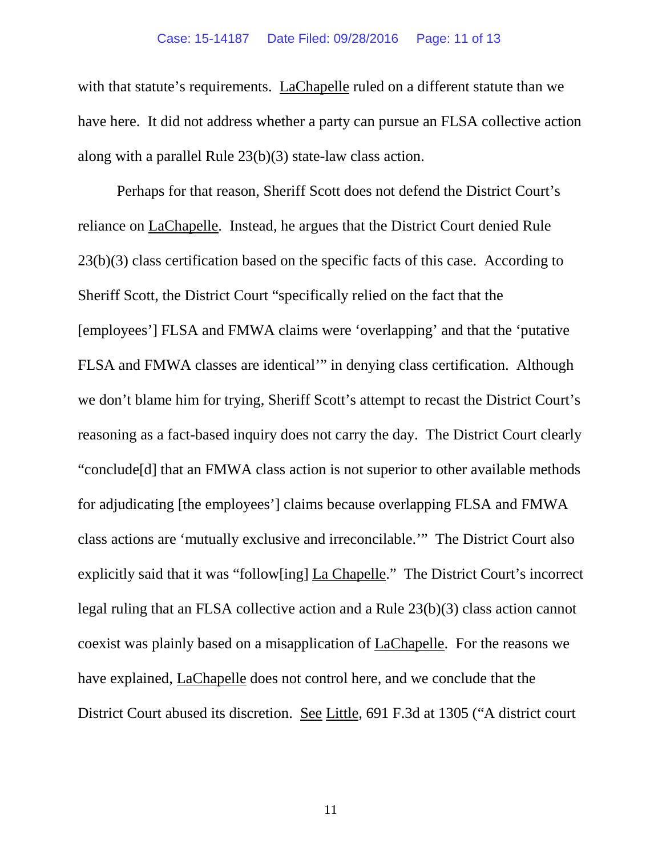with that statute's requirements. LaChapelle ruled on a different statute than we have here. It did not address whether a party can pursue an FLSA collective action along with a parallel Rule 23(b)(3) state-law class action.

Perhaps for that reason, Sheriff Scott does not defend the District Court's reliance on LaChapelle. Instead, he argues that the District Court denied Rule 23(b)(3) class certification based on the specific facts of this case. According to Sheriff Scott, the District Court "specifically relied on the fact that the [employees'] FLSA and FMWA claims were 'overlapping' and that the 'putative FLSA and FMWA classes are identical'" in denying class certification. Although we don't blame him for trying, Sheriff Scott's attempt to recast the District Court's reasoning as a fact-based inquiry does not carry the day. The District Court clearly "conclude[d] that an FMWA class action is not superior to other available methods for adjudicating [the employees'] claims because overlapping FLSA and FMWA class actions are 'mutually exclusive and irreconcilable.'" The District Court also explicitly said that it was "follow[ing] La Chapelle." The District Court's incorrect legal ruling that an FLSA collective action and a Rule 23(b)(3) class action cannot coexist was plainly based on a misapplication of LaChapelle. For the reasons we have explained, LaChapelle does not control here, and we conclude that the District Court abused its discretion. See Little, 691 F.3d at 1305 ("A district court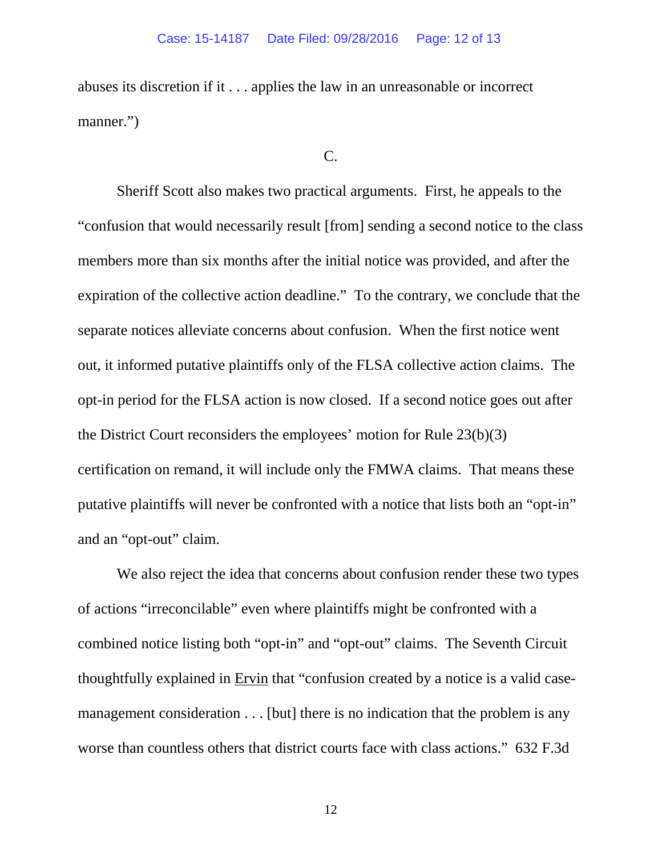abuses its discretion if it . . . applies the law in an unreasonable or incorrect manner.")

#### C.

Sheriff Scott also makes two practical arguments. First, he appeals to the "confusion that would necessarily result [from] sending a second notice to the class members more than six months after the initial notice was provided, and after the expiration of the collective action deadline." To the contrary, we conclude that the separate notices alleviate concerns about confusion. When the first notice went out, it informed putative plaintiffs only of the FLSA collective action claims. The opt-in period for the FLSA action is now closed. If a second notice goes out after the District Court reconsiders the employees' motion for Rule 23(b)(3) certification on remand, it will include only the FMWA claims. That means these putative plaintiffs will never be confronted with a notice that lists both an "opt-in" and an "opt-out" claim.

We also reject the idea that concerns about confusion render these two types of actions "irreconcilable" even where plaintiffs might be confronted with a combined notice listing both "opt-in" and "opt-out" claims. The Seventh Circuit thoughtfully explained in Ervin that "confusion created by a notice is a valid casemanagement consideration . . . [but] there is no indication that the problem is any worse than countless others that district courts face with class actions." 632 F.3d